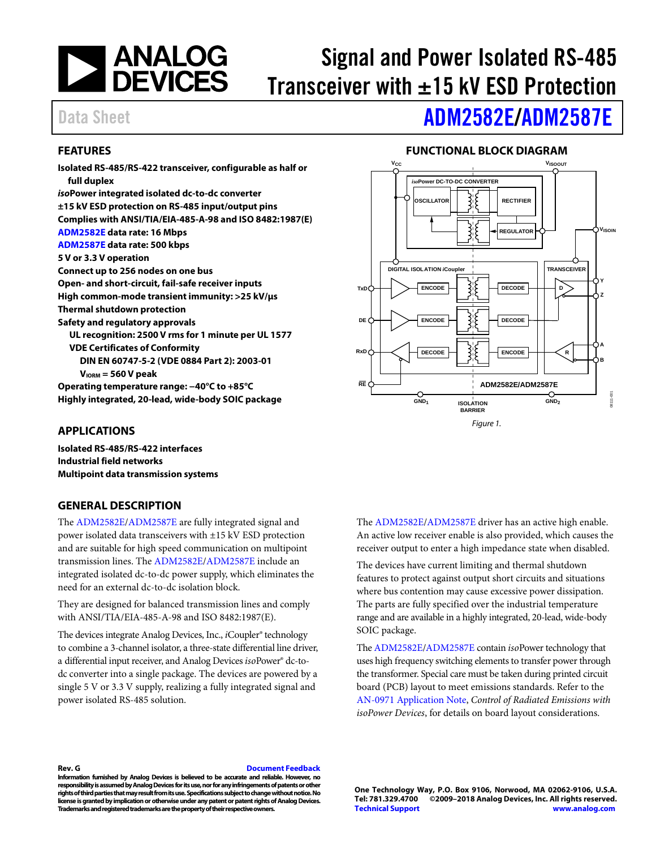

# Signal and Power Isolated RS-485 Transceiver with  $\pm 15$  kV ESD Protection

# Data Sheet **[ADM2582E/](http://www.analog.com/ADM2582E?doc=ADM2582E_2587E.pdf)[ADM2587E](http://www.analog.com/ADM2587E?doc=ADM2582E_2587E.pdf)**

### <span id="page-0-0"></span>**FEATURES**

**Isolated RS-485/RS-422 transceiver, configurable as half or full duplex** *iso***Power integrated isolated dc-to-dc converter ±15 kV ESD protection on RS-485 input/output pins Complies with ANSI/TIA/EIA-485-A-98 and ISO 8482:1987(E) [ADM2582E](http://www.analog.com/ADM2582E?doc=ADM2582E_2587E.pdf) data rate: 16 Mbps [ADM2587E](http://www.analog.com/ADM2587E?doc=ADM2582E_2587E.pdf) data rate: 500 kbps 5 V or 3.3 V operation Connect up to 256 nodes on one bus Open- and short-circuit, fail-safe receiver inputs High common-mode transient immunity: >25 kV/µs Thermal shutdown protection Safety and regulatory approvals UL recognition: 2500 V rms for 1 minute per UL 1577 VDE Certificates of Conformity DIN EN 60747-5-2 (VDE 0884 Part 2): 2003-01 VIORM = 560 V peak Operating temperature range: −40°C to +85°C Highly integrated, 20-lead, wide-body SOIC package**

### **FUNCTIONAL BLOCK DIAGRAM**

<span id="page-0-2"></span>

### <span id="page-0-1"></span>**APPLICATIONS**

**Isolated RS-485/RS-422 interfaces Industrial field networks Multipoint data transmission systems**

### <span id="page-0-3"></span>**GENERAL DESCRIPTION**

The [ADM2582E](http://www.analog.com/ADM2582E?doc=ADM2582E_2587E.pdf)[/ADM2587E](http://www.analog.com/ADM2587E?doc=ADM2582E_2587E.pdf) are fully integrated signal and power isolated data transceivers with ±15 kV ESD protection and are suitable for high speed communication on multipoint transmission lines. The [ADM2582E](http://www.analog.com/ADM2582E?doc=ADM2582E_2587E.pdf)[/ADM2587E](http://www.analog.com/ADM2587E?doc=ADM2582E_2587E.pdf) include an integrated isolated dc-to-dc power supply, which eliminates the need for an external dc-to-dc isolation block.

They are designed for balanced transmission lines and comply with ANSI/TIA/EIA-485-A-98 and ISO 8482:1987(E).

The devices integrate Analog Devices, Inc., *i*Coupler® technology to combine a 3-channel isolator, a three-state differential line driver, a differential input receiver, and Analog Devices*iso*Power® dc-todc converter into a single package. The devices are powered by a single 5 V or 3.3 V supply, realizing a fully integrated signal and power isolated RS-485 solution.

<span id="page-0-4"></span>The [ADM2582E](http://www.analog.com/ADM2582E?doc=ADM2582E_2587E.pdf)[/ADM2587E](http://www.analog.com/ADM2587E?doc=ADM2582E_2587E.pdf) driver has an active high enable. An active low receiver enable is also provided, which causes the receiver output to enter a high impedance state when disabled.

The devices have current limiting and thermal shutdown features to protect against output short circuits and situations where bus contention may cause excessive power dissipation. The parts are fully specified over the industrial temperature range and are available in a highly integrated, 20-lead, wide-body SOIC package.

Th[e ADM2582E](http://www.analog.com/ADM2582E?doc=ADM2582E_2587E.pdf)[/ADM2587E](http://www.analog.com/ADM2587E?doc=ADM2582E_2587E.pdf) contain *iso*Power technology that uses high frequency switching elements to transfer power through the transformer. Special care must be taken during printed circuit board (PCB) layout to meet emissions standards. Refer to the AN-0971 [Application Note,](http://www.analog.com/AN-0971?doc=ADM2582E_2587E.pdf) *Control of Radiated Emissions with isoPower Devices*, for details on board layout considerations.

#### **Rev. G [Document Feedback](https://form.analog.com/Form_Pages/feedback/documentfeedback.aspx?doc=ADM2582E_2587E.pdf&product=ADM2582E%20ADM2587E&rev=G)**

**Information furnished by Analog Devices is believed to be accurate and reliable. However, no responsibility is assumed by Analog Devices for its use, nor for any infringements of patents or other rights of third parties that may result from its use. Specifications subject to change without notice. No license is granted by implication or otherwise under any patent or patent rights of Analog Devices. Trademarks and registered trademarks are the property of their respective owners.**

**One Technology Way, P.O. Box 9106, Norwood, MA 02062-9106, U.S.A. Tel: 781.329.4700 ©2009–2018 Analog Devices, Inc. All rights reserved. [Technical Support](http://www.analog.com/en/content/technical_support_page/fca.html) [www.analog.com](http://www.analog.com/)**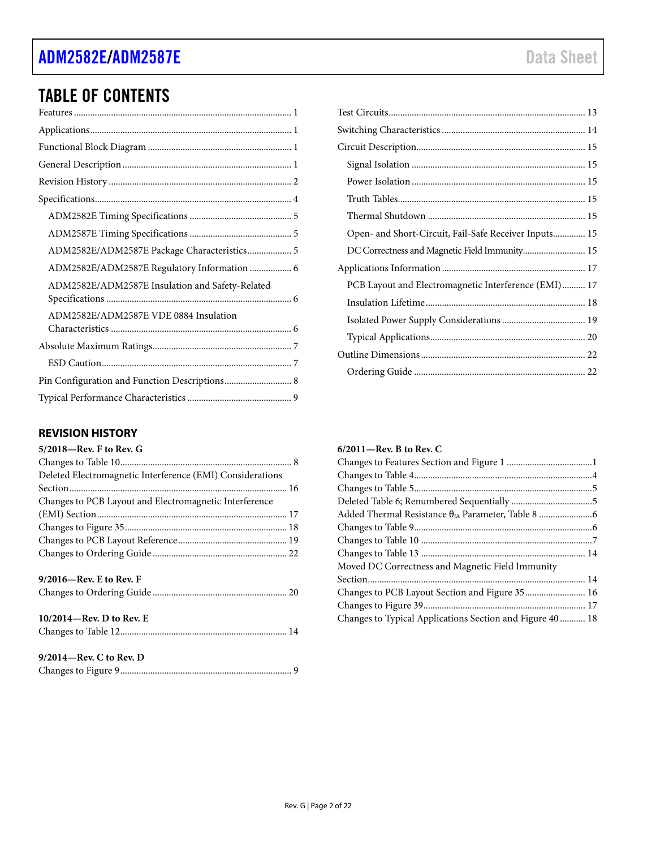# [ADM2582E/](http://www.analog.com/ADM2582E?doc=ADM2582E_2587E.pdf)[ADM2587E](http://www.analog.com/ADM2587E?doc=ADM2582E_2587E.pdf) and the control of the control of the control of the control of the control of the control of the control of the control of the control of the control of the control of the control of the control of the c

# TABLE OF CONTENTS

| ADM2582E/ADM2587E Package Characteristics 5     |
|-------------------------------------------------|
| ADM2582E/ADM2587E Regulatory Information  6     |
| ADM2582E/ADM2587E Insulation and Safety-Related |
| ADM2582E/ADM2587E VDE 0884 Insulation           |
|                                                 |
|                                                 |
|                                                 |
|                                                 |

### <span id="page-1-0"></span>**REVISION HISTORY**

| 5/2018-Rev. F to Rev. G                                   |
|-----------------------------------------------------------|
|                                                           |
| Deleted Electromagnetic Interference (EMI) Considerations |
|                                                           |
| Changes to PCB Layout and Electromagnetic Interference    |
|                                                           |
|                                                           |
|                                                           |
|                                                           |
| $9/2016$ —Rev. E to Rev. F                                |
|                                                           |
| $10/2014$ —Rev. D to Rev. E                               |
|                                                           |
| $9/2014$ —Rev. C to Rev. D                                |
|                                                           |

| Open- and Short-Circuit, Fail-Safe Receiver Inputs 15 |  |
|-------------------------------------------------------|--|
| DC Correctness and Magnetic Field Immunity 15         |  |
|                                                       |  |
| PCB Layout and Electromagnetic Interference (EMI) 17  |  |
|                                                       |  |
|                                                       |  |
|                                                       |  |
|                                                       |  |
|                                                       |  |
|                                                       |  |

### **6/2011—Rev. B to Rev. C**

| Moved DC Correctness and Magnetic Field Immunity          |  |
|-----------------------------------------------------------|--|
|                                                           |  |
| Changes to PCB Layout Section and Figure 35  16           |  |
|                                                           |  |
| Changes to Typical Applications Section and Figure 40  18 |  |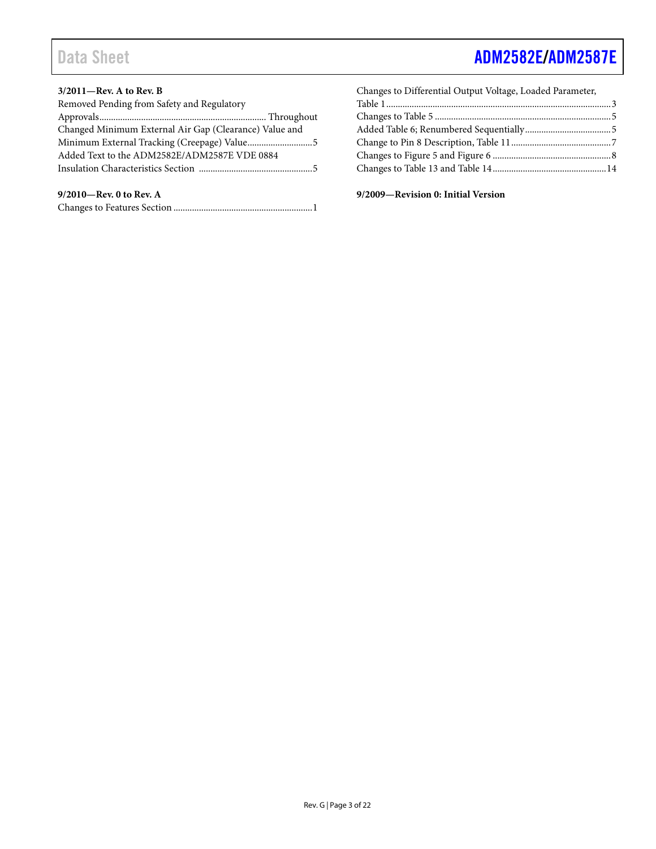# Data Sheet And The Contract [ADM2582E/](http://www.analog.com/ADM2582E?doc=ADM2582E_2587E.pdf)[ADM2587E](http://www.analog.com/ADM2587E?doc=ADM2582E_2587E.pdf)

#### **3/2011—Rev. A to Rev. B**

| Removed Pending from Safety and Regulatory             |  |
|--------------------------------------------------------|--|
|                                                        |  |
| Changed Minimum External Air Gap (Clearance) Value and |  |
|                                                        |  |
| Added Text to the ADM2582E/ADM2587E VDE 0884           |  |
|                                                        |  |
|                                                        |  |

### **9/2010—Rev. 0 to Rev. A**

|--|--|--|--|

| Changes to Differential Output Voltage, Loaded Parameter, |  |
|-----------------------------------------------------------|--|
|                                                           |  |
|                                                           |  |
|                                                           |  |
|                                                           |  |
|                                                           |  |
|                                                           |  |
|                                                           |  |

**9/2009—Revision 0: Initial Version**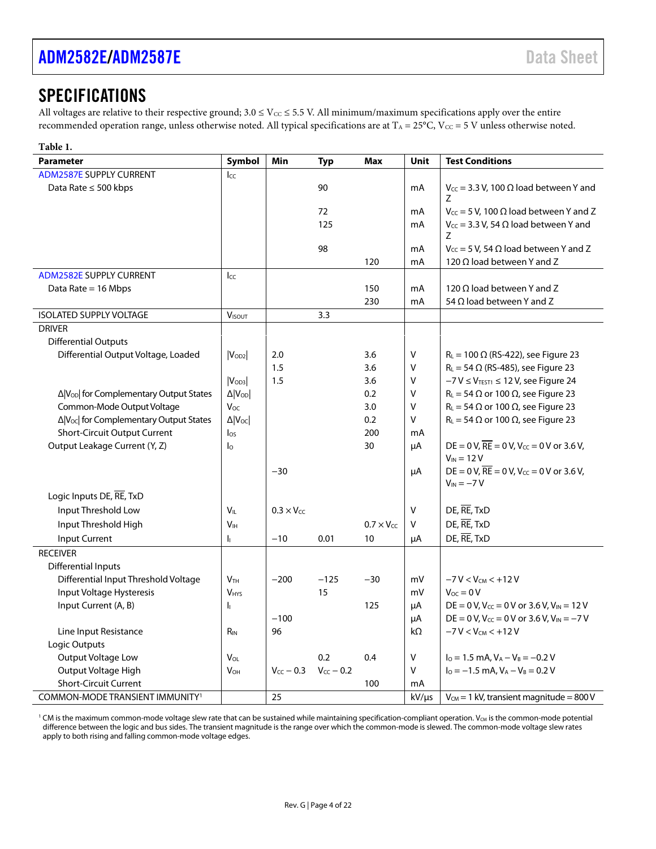### <span id="page-3-0"></span>**SPECIFICATIONS**

All voltages are relative to their respective ground;  $3.0 \le V_{\text{CC}} \le 5.5$  V. All minimum/maximum specifications apply over the entire recommended operation range, unless otherwise noted. All typical specifications are at  $T_A = 25^{\circ}C$ ,  $V_{CC} = 5$  V unless otherwise noted.

<span id="page-3-1"></span>

| Table 1.                                            |                            |                     |                |                     |              |                                                                    |
|-----------------------------------------------------|----------------------------|---------------------|----------------|---------------------|--------------|--------------------------------------------------------------------|
| <b>Parameter</b>                                    | Symbol                     | Min                 | <b>Typ</b>     | Max                 | Unit         | <b>Test Conditions</b>                                             |
| <b>ADM2587E SUPPLY CURRENT</b>                      | Icc                        |                     |                |                     |              |                                                                    |
| Data Rate ≤ 500 kbps                                |                            |                     | 90             |                     | mA           | $V_{CC}$ = 3.3 V, 100 $\Omega$ load between Y and                  |
|                                                     |                            |                     |                |                     |              | 7                                                                  |
|                                                     |                            |                     | 72             |                     | mA           | $V_{CC}$ = 5 V, 100 $\Omega$ load between Y and Z                  |
|                                                     |                            |                     | 125            |                     | mA           | $V_{CC}$ = 3.3 V, 54 $\Omega$ load between Y and                   |
|                                                     |                            |                     |                |                     |              | Z                                                                  |
|                                                     |                            |                     | 98             |                     | mA           | $V_{CC}$ = 5 V, 54 $\Omega$ load between Y and Z                   |
|                                                     |                            |                     |                | 120                 | mA           | 120 $\Omega$ load between Y and Z                                  |
| <b>ADM2582E SUPPLY CURRENT</b>                      | Icc                        |                     |                |                     |              |                                                                    |
| Data Rate $= 16$ Mbps                               |                            |                     |                | 150                 | mA           | 120 $\Omega$ load between Y and Z                                  |
|                                                     |                            |                     |                | 230                 | mA           | 54 $\Omega$ load between Y and Z                                   |
| <b>ISOLATED SUPPLY VOLTAGE</b>                      | <b>VISOUT</b>              |                     | 3.3            |                     |              |                                                                    |
| <b>DRIVER</b>                                       |                            |                     |                |                     |              |                                                                    |
| <b>Differential Outputs</b>                         |                            |                     |                |                     |              |                                                                    |
| Differential Output Voltage, Loaded                 | $ V_{OD2} $                | 2.0                 |                | 3.6                 | $\vee$       | $R_L = 100 \Omega$ (RS-422), see Figure 23                         |
|                                                     |                            | 1.5                 |                | 3.6                 | $\mathsf{V}$ | $R_L$ = 54 $\Omega$ (RS-485), see Figure 23                        |
|                                                     | $ V_{OD3} $                | 1.5                 |                | 3.6                 | V            | $-7 V \leq V$ <sub>TEST1</sub> $\leq 12 V$ , see Figure 24         |
| Δ V <sub>OD</sub>   for Complementary Output States | $\Delta$ $ V_{OD} $        |                     |                | 0.2                 | $\mathsf{V}$ | $R_L = 54 \Omega$ or 100 $\Omega$ , see Figure 23                  |
| Common-Mode Output Voltage                          | $V_{OC}$                   |                     |                | 3.0                 | $\vee$       | $R_L = 54 \Omega$ or 100 $\Omega$ , see Figure 23                  |
| Δ V <sub>oc</sub>   for Complementary Output States | $\Delta$   $V_{\text{OC}}$ |                     |                | 0.2                 | $\mathsf{V}$ | $R_L = 54 \Omega$ or 100 $\Omega$ , see Figure 23                  |
| Short-Circuit Output Current                        | los                        |                     |                | 200                 | mA           |                                                                    |
| Output Leakage Current (Y, Z)                       | $\mathsf{I}_{\mathsf{O}}$  |                     |                | 30                  | μA           | DE = 0 V, $\overline{RE}$ = 0 V, V <sub>cc</sub> = 0 V or 3.6 V,   |
|                                                     |                            |                     |                |                     |              | $V_{IN}$ = 12 V                                                    |
|                                                     |                            | $-30$               |                |                     | μA           | DE = 0 V, $\overline{RE}$ = 0 V, V <sub>CC</sub> = 0 V or 3.6 V,   |
|                                                     |                            |                     |                |                     |              | $V_{IN} = -7 V$                                                    |
| Logic Inputs DE, RE, TxD                            |                            |                     |                |                     |              |                                                                    |
| Input Threshold Low                                 | $V_{IL}$                   | $0.3 \times V_{CC}$ |                |                     | $\mathsf{V}$ | DE, RE, TxD                                                        |
| Input Threshold High                                | V <sub>IH</sub>            |                     |                | $0.7 \times V_{CC}$ | $\vee$       | DE, RE, TxD                                                        |
| Input Current                                       | h.                         | $-10$               | 0.01           | 10                  | μA           | DE, RE, TxD                                                        |
| <b>RECEIVER</b>                                     |                            |                     |                |                     |              |                                                                    |
| <b>Differential Inputs</b>                          |                            |                     |                |                     |              |                                                                    |
| Differential Input Threshold Voltage                | V <sub>TH</sub>            | $-200$              | $-125$         | $-30$               | mV           | $-7 V < V_{CM} < +12 V$                                            |
| Input Voltage Hysteresis                            | <b>VHYS</b>                |                     | 15             |                     | mV           | $V_{OC} = 0 V$                                                     |
| Input Current (A, B)                                | I <sub>I</sub>             |                     |                | 125                 | μA           | DE = 0 V, $V_{CC}$ = 0 V or 3.6 V, $V_{IN}$ = 12 V                 |
|                                                     |                            | $-100$              |                |                     | μA           | DE = 0 V, V <sub>cc</sub> = 0 V or 3.6 V, V <sub>IN</sub> = $-7$ V |
| Line Input Resistance                               | $R_{IN}$                   | 96                  |                |                     | kΩ           | $-7 V < V_{CM} < +12 V$                                            |
| Logic Outputs                                       |                            |                     |                |                     |              |                                                                    |
| Output Voltage Low                                  | VOL                        |                     | 0.2            | 0.4                 | $\sf V$      | $I_0 = 1.5$ mA, $V_A - V_B = -0.2$ V                               |
| Output Voltage High                                 | <b>V</b> <sub>OH</sub>     | $V_{CC}$ - 0.3      | $V_{CC}$ - 0.2 |                     | $\vee$       | $I_0 = -1.5$ mA, $V_A - V_B = 0.2$ V                               |
| <b>Short-Circuit Current</b>                        |                            |                     |                | 100                 | mA           |                                                                    |
| COMMON-MODE TRANSIENT IMMUNITY <sup>1</sup>         |                            | 25                  |                |                     | $kV/\mu s$   | $V_{CM}$ = 1 kV, transient magnitude = 800 V                       |

<sup>1</sup> CM is the maximum common-mode voltage slew rate that can be sustained while maintaining specification-compliant operation. V<sub>CM</sub> is the common-mode potential difference between the logic and bus sides. The transient magnitude is the range over which the common-mode is slewed. The common-mode voltage slew rates apply to both rising and falling common-mode voltage edges.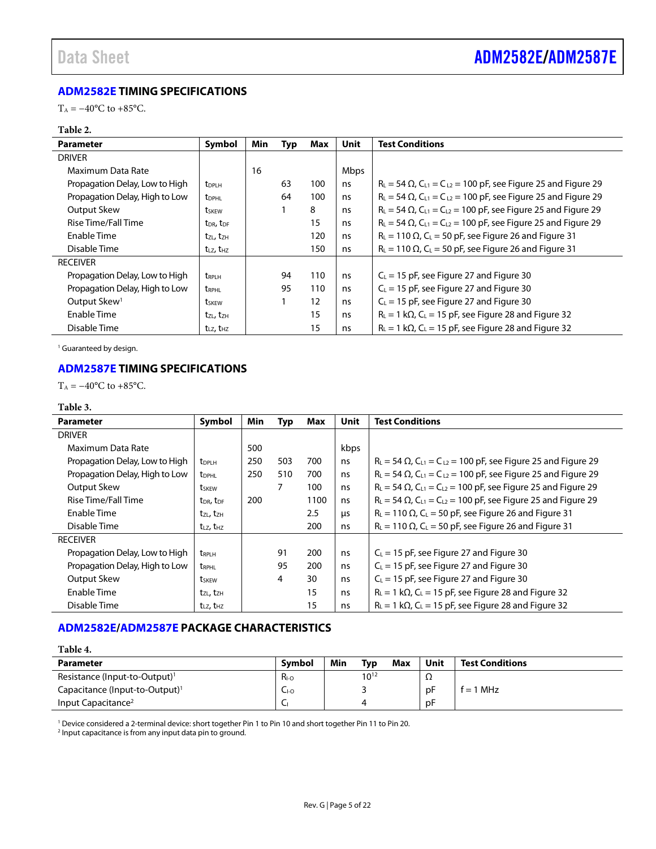### <span id="page-4-0"></span>**[ADM2582E](http://www.analog.com/ADM2582E?doc=ADM2582E_2587E.pdf) TIMING SPECIFICATIONS**

T<sub>A</sub> =  $-40^{\circ}$ C to  $+85^{\circ}$ C.

#### **Table 2.**

| <b>Parameter</b>               | Symbol                            | Min | Typ | Max | <b>Unit</b> | <b>Test Conditions</b>                                                                          |
|--------------------------------|-----------------------------------|-----|-----|-----|-------------|-------------------------------------------------------------------------------------------------|
| <b>DRIVER</b>                  |                                   |     |     |     |             |                                                                                                 |
| Maximum Data Rate              |                                   | 16  |     |     | Mbps        |                                                                                                 |
| Propagation Delay, Low to High | <b>t</b> <sub>DPLH</sub>          |     | 63  | 100 | ns          | $R_{L} = 54 \Omega$ , $C_{L1} = C_{L2} = 100 \text{ pF}$ , see Figure 25 and Figure 29          |
| Propagation Delay, High to Low | <b>t</b> <sub>DPHL</sub>          |     | 64  | 100 | ns          | $R_{L}$ = 54 $\Omega$ , C <sub>L1</sub> = C <sub>L2</sub> = 100 pF, see Figure 25 and Figure 29 |
| Output Skew                    | <b>t</b> skew                     |     |     | 8   | ns          | $R_{L} = 54 \Omega$ , C <sub>L1</sub> = C <sub>L2</sub> = 100 pF, see Figure 25 and Figure 29   |
| Rise Time/Fall Time            | t <sub>DR</sub> , t <sub>DF</sub> |     |     | 15  | ns          | $R_{L}$ = 54 $\Omega$ , C <sub>L1</sub> = C <sub>L2</sub> = 100 pF, see Figure 25 and Figure 29 |
| Enable Time                    | tzL, tzH                          |     |     | 120 | ns          | $R_L$ = 110 $\Omega$ , C <sub>L</sub> = 50 pF, see Figure 26 and Figure 31                      |
| Disable Time                   | t <sub>LZ</sub> , t <sub>HZ</sub> |     |     | 150 | ns          | $R_L = 110 \Omega$ , C <sub>L</sub> = 50 pF, see Figure 26 and Figure 31                        |
| <b>RECEIVER</b>                |                                   |     |     |     |             |                                                                                                 |
| Propagation Delay, Low to High | <b>t</b> <sub>RPLH</sub>          |     | 94  | 110 | ns          | $C_{L}$ = 15 pF, see Figure 27 and Figure 30                                                    |
| Propagation Delay, High to Low | tRPHL                             |     | 95  | 110 | ns          | $C_L$ = 15 pF, see Figure 27 and Figure 30                                                      |
| Output Skew <sup>1</sup>       | tskew                             |     |     | 12  | ns          | $C_{L}$ = 15 pF, see Figure 27 and Figure 30                                                    |
| <b>Enable Time</b>             | tzL, tzH                          |     |     | 15  | ns          | $R_L = 1$ k $\Omega$ , C <sub>L</sub> = 15 pF, see Figure 28 and Figure 32                      |
| Disable Time                   | $t_{LZ}$ , $t_{HZ}$               |     |     | 15  | ns          | $R_L = 1 k\Omega$ , C <sub>L</sub> = 15 pF, see Figure 28 and Figure 32                         |

<sup>1</sup> Guaranteed by design.

### <span id="page-4-1"></span>**[ADM2587E](http://www.analog.com/ADM2587E?doc=ADM2582E_2587E.pdf) TIMING SPECIFICATIONS**

 $T_A = -40$ °C to +85°C.

#### **Table 3.**

| <b>Parameter</b>               | Symbol                            | Min | <b>Typ</b> | Max  | Unit | <b>Test Conditions</b>                                                                          |
|--------------------------------|-----------------------------------|-----|------------|------|------|-------------------------------------------------------------------------------------------------|
| <b>DRIVER</b>                  |                                   |     |            |      |      |                                                                                                 |
| Maximum Data Rate              |                                   | 500 |            |      | kbps |                                                                                                 |
| Propagation Delay, Low to High | <b>t</b> <sub>DPLH</sub>          | 250 | 503        | 700  | ns   | $R_{L}$ = 54 $\Omega$ , C <sub>L1</sub> = C <sub>L2</sub> = 100 pF, see Figure 25 and Figure 29 |
| Propagation Delay, High to Low | <b>t</b> <sub>DPHL</sub>          | 250 | 510        | 700  | ns   | $R_{L} = 54 \Omega$ , C <sub>L1</sub> = C <sub>L2</sub> = 100 pF, see Figure 25 and Figure 29   |
| Output Skew                    | tskew                             |     | 7          | 100  | ns   | $R_{L} = 54 \Omega$ , C <sub>L1</sub> = C <sub>L2</sub> = 100 pF, see Figure 25 and Figure 29   |
| <b>Rise Time/Fall Time</b>     | $t_{\text{DR}}$ , $t_{\text{DF}}$ | 200 |            | 1100 | ns   | $R_L = 54 \Omega$ , $C_{L1} = C_{L2} = 100 \text{ pF}$ , see Figure 25 and Figure 29            |
| Enable Time                    | tzl, tzh                          |     |            | 2.5  | μs   | $R_L = 110 \Omega$ , C <sub>L</sub> = 50 pF, see Figure 26 and Figure 31                        |
| Disable Time                   | $t_{LZ}$ , $t_{HZ}$               |     |            | 200  | ns   | $R_L$ = 110 $\Omega$ , C <sub>L</sub> = 50 pF, see Figure 26 and Figure 31                      |
| <b>RECEIVER</b>                |                                   |     |            |      |      |                                                                                                 |
| Propagation Delay, Low to High | <b>tRPLH</b>                      |     | 91         | 200  | ns   | $C_{L}$ = 15 pF, see Figure 27 and Figure 30                                                    |
| Propagation Delay, High to Low | <b>t</b> <sub>RPHL</sub>          |     | 95         | 200  | ns   | $C_{L}$ = 15 pF, see Figure 27 and Figure 30                                                    |
| Output Skew                    | tskew                             |     | 4          | 30   | ns   | $C_{L}$ = 15 pF, see Figure 27 and Figure 30                                                    |
| Enable Time                    | $t_{ZL}$ , $t_{ZH}$               |     |            | 15   | ns   | $R_L = 1$ k $\Omega$ , C <sub>L</sub> = 15 pF, see Figure 28 and Figure 32                      |
| Disable Time                   | $t_{LZ}$ , $t_{HZ}$               |     |            | 15   | ns   | $R_L = 1 k\Omega$ , C <sub>L</sub> = 15 pF, see Figure 28 and Figure 32                         |

### <span id="page-4-2"></span>**[ADM2582E/](http://www.analog.com/ADM2582E?doc=ADM2582E_2587E.pdf)[ADM2587E](http://www.analog.com/ADM2587E?doc=ADM2582E_2587E.pdf) PACKAGE CHARACTERISTICS**

### **Table 4. Parameter Symbol Min Typ Max Unit Test Conditions** Resistance (Input-to-Output)<sup>1</sup>  $R_{10}$  10<sup>12</sup>  $\Omega$ Capacitance (Input-to-Output)<sup>1</sup>  $C_{10}$  | 3 | pF  $f = 1$  MHz Input Capacitance2 CI 4 pF

<sup>1</sup> Device considered a 2-terminal device: short together Pin 1 to Pin 10 and short together Pin 11 to Pin 20.

<sup>2</sup> Input capacitance is from any input data pin to ground.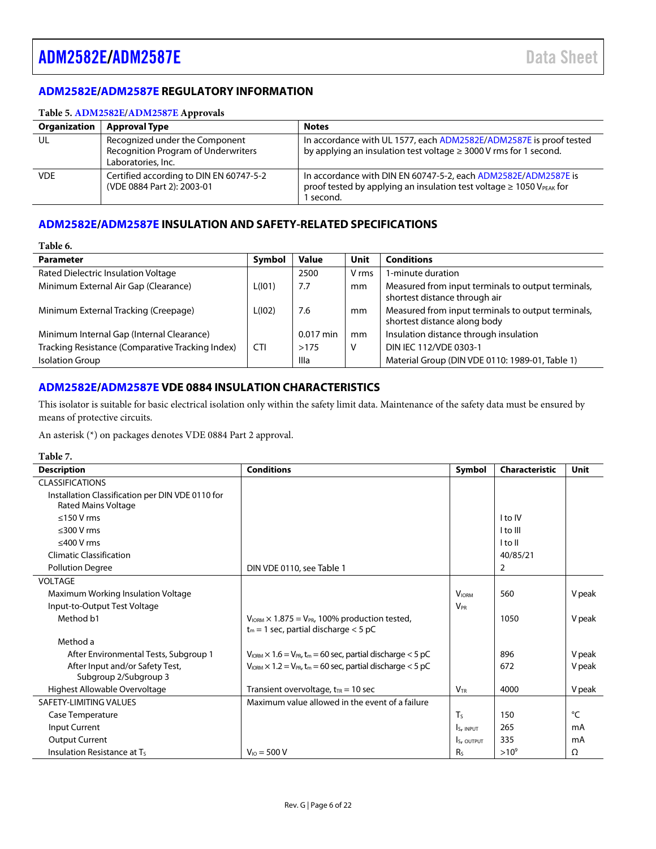### <span id="page-5-0"></span>**[ADM2582E/](http://www.analog.com/ADM2582E?doc=ADM2582E_2587E.pdf)[ADM2587E](http://www.analog.com/ADM2587E?doc=ADM2582E_2587E.pdf) REGULATORY INFORMATION**

#### **Table 5[. ADM2582E/](http://www.analog.com/ADM2582E?doc=ADM2582E_2587E.pdf)[ADM2587E](http://www.analog.com/ADM2587E?doc=ADM2582E_2587E.pdf) Approvals**

| <b>Organization</b> | <b>Approval Type</b>                                                                        | <b>Notes</b>                                                                                                                                                         |
|---------------------|---------------------------------------------------------------------------------------------|----------------------------------------------------------------------------------------------------------------------------------------------------------------------|
| UL                  | Recognized under the Component<br>Recognition Program of Underwriters<br>Laboratories, Inc. | In accordance with UL 1577, each ADM2582E/ADM2587E is proof tested<br>by applying an insulation test voltage $\geq$ 3000 V rms for 1 second.                         |
| <b>VDE</b>          | Certified according to DIN EN 60747-5-2<br>(VDE 0884 Part 2): 2003-01                       | In accordance with DIN EN 60747-5-2, each ADM2582E/ADM2587E is<br>proof tested by applying an insulation test voltage $\geq 1050$ V <sub>PEAK</sub> for<br>I second. |

### <span id="page-5-1"></span>**[ADM2582E/](http://www.analog.com/ADM2582E?doc=ADM2582E_2587E.pdf)[ADM2587E](http://www.analog.com/ADM2587E?doc=ADM2582E_2587E.pdf) INSULATION AND SAFETY-RELATED SPECIFICATIONS**

| anie | п |
|------|---|
|------|---|

| <b>Parameter</b>                                 | Symbol     | <b>Value</b> | Unit  | <b>Conditions</b>                                                                   |
|--------------------------------------------------|------------|--------------|-------|-------------------------------------------------------------------------------------|
| Rated Dielectric Insulation Voltage              |            | 2500         | V rms | 1-minute duration                                                                   |
| Minimum External Air Gap (Clearance)             | L(101)     | 7.7          | mm    | Measured from input terminals to output terminals,<br>shortest distance through air |
| Minimum External Tracking (Creepage)             | L(102)     | 7.6          | mm    | Measured from input terminals to output terminals,<br>shortest distance along body  |
| Minimum Internal Gap (Internal Clearance)        |            | $0.017$ min  | mm    | Insulation distance through insulation                                              |
| Tracking Resistance (Comparative Tracking Index) | <b>CTI</b> | >175         | V     | DIN IEC 112/VDE 0303-1                                                              |
| <b>Isolation Group</b>                           |            | Illa         |       | Material Group (DIN VDE 0110: 1989-01, Table 1)                                     |

### <span id="page-5-2"></span>**[ADM2582E/](http://www.analog.com/ADM2582E?doc=ADM2582E_2587E.pdf)[ADM2587E](http://www.analog.com/ADM2587E?doc=ADM2582E_2587E.pdf) VDE 0884 INSULATION CHARACTERISTICS**

This isolator is suitable for basic electrical isolation only within the safety limit data. Maintenance of the safety data must be ensured by means of protective circuits.

An asterisk (\*) on packages denotes VDE 0884 Part 2 approval.

#### **Table 7.**

| <b>Description</b>                                                             | <b>Conditions</b>                                                                                                   | Symbol                | <b>Characteristic</b> | Unit   |
|--------------------------------------------------------------------------------|---------------------------------------------------------------------------------------------------------------------|-----------------------|-----------------------|--------|
| <b>CLASSIFICATIONS</b>                                                         |                                                                                                                     |                       |                       |        |
| Installation Classification per DIN VDE 0110 for<br><b>Rated Mains Voltage</b> |                                                                                                                     |                       |                       |        |
| $<$ 150 V rms                                                                  |                                                                                                                     |                       | I to IV               |        |
| $\leq$ 300 V rms                                                               |                                                                                                                     |                       | I to III              |        |
| $\leq$ 400 V rms                                                               |                                                                                                                     |                       | I to II               |        |
| <b>Climatic Classification</b>                                                 |                                                                                                                     |                       | 40/85/21              |        |
| <b>Pollution Degree</b>                                                        | DIN VDE 0110, see Table 1                                                                                           |                       | 2                     |        |
| <b>VOLTAGE</b>                                                                 |                                                                                                                     |                       |                       |        |
| Maximum Working Insulation Voltage                                             |                                                                                                                     | <b>VIORM</b>          | 560                   | V peak |
| Input-to-Output Test Voltage                                                   |                                                                                                                     | <b>V<sub>PR</sub></b> |                       |        |
| Method b1                                                                      | $V_{\text{IORM}} \times 1.875 = V_{\text{PR}}$ , 100% production tested,<br>$t_m$ = 1 sec, partial discharge < 5 pC |                       | 1050                  | V peak |
| Method a                                                                       |                                                                                                                     |                       |                       |        |
| After Environmental Tests, Subgroup 1                                          | $V_{\text{IORM}} \times 1.6 = V_{\text{PR}}$ , t <sub>m</sub> = 60 sec, partial discharge < 5 pC                    |                       | 896                   | V peak |
| After Input and/or Safety Test,<br>Subgroup 2/Subgroup 3                       | $V_{\text{ORM}} \times 1.2 = V_{\text{PR}}$ , t <sub>m</sub> = 60 sec, partial discharge < 5 pC                     |                       | 672                   | V peak |
| Highest Allowable Overvoltage                                                  | Transient overvoltage, $t_{TR}$ = 10 sec                                                                            | $V_{TR}$              | 4000                  | V peak |
| SAFETY-LIMITING VALUES                                                         | Maximum value allowed in the event of a failure                                                                     |                       |                       |        |
| Case Temperature                                                               |                                                                                                                     | $T_S$                 | 150                   | °C     |
| Input Current                                                                  |                                                                                                                     | Is, INPUT             | 265                   | mA     |
| <b>Output Current</b>                                                          |                                                                                                                     | Is, OUTPUT            | 335                   | mA     |
| Insulation Resistance at Ts                                                    | $V_{10} = 500 V$                                                                                                    | R <sub>s</sub>        | $>10^{9}$             | Ω      |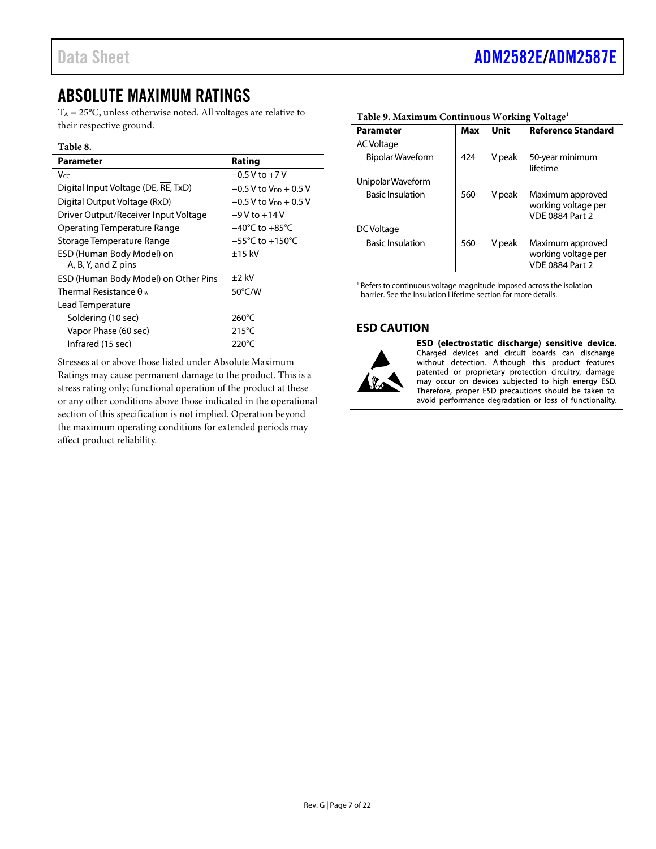VDE 0884 Part 2

working voltage per VDE 0884 Part 2

# <span id="page-6-0"></span>ABSOLUTE MAXIMUM RATINGS

 $T_A = 25$ °C, unless otherwise noted. All voltages are relative to their respective ground.

#### **Table 8.**

| Parameter                                        | Rating                               |
|--------------------------------------------------|--------------------------------------|
| Vcc                                              | $-0.5$ V to $+7$ V                   |
| Digital Input Voltage (DE, RE, TxD)              | $-0.5$ V to V <sub>pp</sub> $+0.5$ V |
| Digital Output Voltage (RxD)                     | $-0.5$ V to V <sub>DD</sub> $+0.5$ V |
| Driver Output/Receiver Input Voltage             | $-9V$ to $+14V$                      |
| Operating Temperature Range                      | $-40^{\circ}$ C to $+85^{\circ}$ C   |
| Storage Temperature Range                        | $-55^{\circ}$ C to $+150^{\circ}$ C  |
| ESD (Human Body Model) on<br>A, B, Y, and Z pins | $±15$ kV                             |
| ESD (Human Body Model) on Other Pins             | +2 kV                                |
| Thermal Resistance $\theta_{14}$                 | 50°C/W                               |
| Lead Temperature                                 |                                      |
| Soldering (10 sec)                               | $260^{\circ}$ C                      |
| Vapor Phase (60 sec)                             | $215^{\circ}$ C                      |
| Infrared (15 sec)                                | 220°C                                |

Stresses at or above those listed under Absolute Maximum Ratings may cause permanent damage to the product. This is a stress rating only; functional operation of the product at these or any other conditions above those indicated in the operational section of this specification is not implied. Operation beyond the maximum operating conditions for extended periods may affect product reliability.

| <b>Parameter</b>        | Max | Unit   | <b>Reference Standard</b>               |
|-------------------------|-----|--------|-----------------------------------------|
| <b>AC Voltage</b>       |     |        |                                         |
| <b>Bipolar Waveform</b> | 424 | V peak | 50-year minimum<br>lifetime             |
| Unipolar Waveform       |     |        |                                         |
| <b>Basic Insulation</b> | 560 | V peak | Maximum approved<br>working voltage per |

Basic Insulation 1560 V peak | Maximum approved

#### <span id="page-6-2"></span>**Table 9. Maximum Continuous Working Voltage1**

<sup>1</sup> Refers to continuous voltage magnitude imposed across the isolation barrier. See th[e Insulation Lifetime](#page-17-0) section for more details.

#### <span id="page-6-1"></span>**ESD CAUTION**



DC Voltage

ESD (electrostatic discharge) sensitive device. Charged devices and circuit boards can discharge without detection. Although this product features patented or proprietary protection circuitry, damage may occur on devices subjected to high energy ESD. Therefore, proper ESD precautions should be taken to avoid performance degradation or loss of functionality.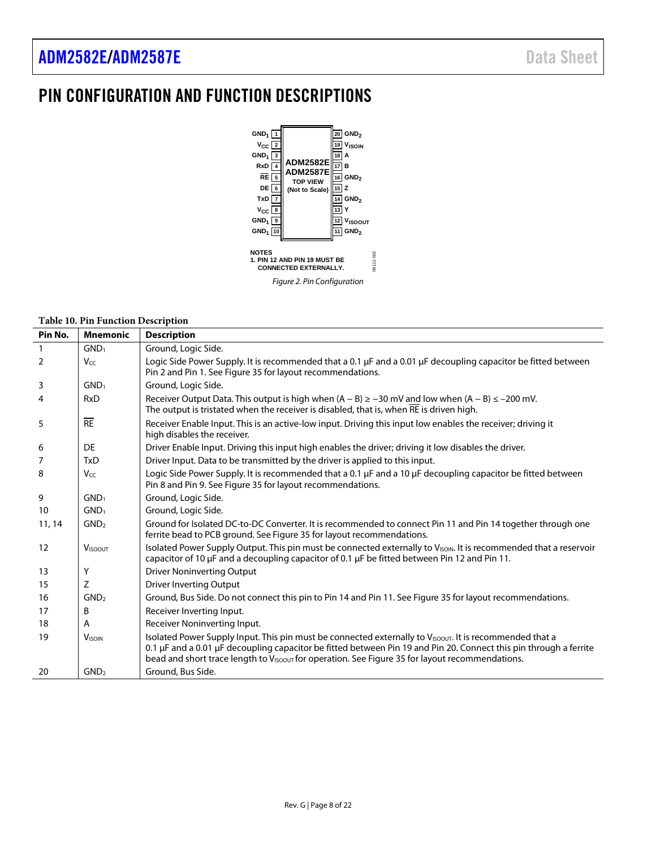# <span id="page-7-0"></span>PIN CONFIGURATION AND FUNCTION DESCRIPTIONS



#### **Table 10. Pin Function Description**

| Pin No.      | <b>Mnemonic</b>  | <b>Description</b>                                                                                                                                                                                                                                                                                                                          |
|--------------|------------------|---------------------------------------------------------------------------------------------------------------------------------------------------------------------------------------------------------------------------------------------------------------------------------------------------------------------------------------------|
| $\mathbf{1}$ | GND <sub>1</sub> | Ground, Logic Side.                                                                                                                                                                                                                                                                                                                         |
| 2            | Vcc              | Logic Side Power Supply. It is recommended that a 0.1 µF and a 0.01 µF decoupling capacitor be fitted between<br>Pin 2 and Pin 1. See Figure 35 for layout recommendations.                                                                                                                                                                 |
| 3            | GND <sub>1</sub> | Ground, Logic Side.                                                                                                                                                                                                                                                                                                                         |
| 4            | <b>RxD</b>       | Receiver Output Data. This output is high when $(A - B) \ge -30$ mV and low when $(A - B) \le -200$ mV.<br>The output is tristated when the receiver is disabled, that is, when RE is driven high.                                                                                                                                          |
| 5            | RE               | Receiver Enable Input. This is an active-low input. Driving this input low enables the receiver; driving it<br>high disables the receiver.                                                                                                                                                                                                  |
| 6            | DE               | Driver Enable Input. Driving this input high enables the driver; driving it low disables the driver.                                                                                                                                                                                                                                        |
| 7            | <b>TxD</b>       | Driver Input. Data to be transmitted by the driver is applied to this input.                                                                                                                                                                                                                                                                |
| 8            | $V_{CC}$         | Logic Side Power Supply. It is recommended that a 0.1 µF and a 10 µF decoupling capacitor be fitted between<br>Pin 8 and Pin 9. See Figure 35 for layout recommendations.                                                                                                                                                                   |
| 9            | GND <sub>1</sub> | Ground, Logic Side.                                                                                                                                                                                                                                                                                                                         |
| 10           | GND <sub>1</sub> | Ground, Logic Side.                                                                                                                                                                                                                                                                                                                         |
| 11, 14       | GND <sub>2</sub> | Ground for Isolated DC-to-DC Converter. It is recommended to connect Pin 11 and Pin 14 together through one<br>ferrite bead to PCB ground. See Figure 35 for layout recommendations.                                                                                                                                                        |
| 12           | <b>VISOOUT</b>   | Isolated Power Supply Output. This pin must be connected externally to VISOIN. It is recommended that a reservoir<br>capacitor of 10 $\mu$ F and a decoupling capacitor of 0.1 $\mu$ F be fitted between Pin 12 and Pin 11.                                                                                                                 |
| 13           | Υ                | <b>Driver Noninverting Output</b>                                                                                                                                                                                                                                                                                                           |
| 15           | Z                | <b>Driver Inverting Output</b>                                                                                                                                                                                                                                                                                                              |
| 16           | GND <sub>2</sub> | Ground, Bus Side. Do not connect this pin to Pin 14 and Pin 11. See Figure 35 for layout recommendations.                                                                                                                                                                                                                                   |
| 17           | B                | Receiver Inverting Input.                                                                                                                                                                                                                                                                                                                   |
| 18           | A                | Receiver Noninverting Input.                                                                                                                                                                                                                                                                                                                |
| 19           | <b>VISOIN</b>    | Isolated Power Supply Input. This pin must be connected externally to VISOOUT. It is recommended that a<br>0.1 µF and a 0.01 µF decoupling capacitor be fitted between Pin 19 and Pin 20. Connect this pin through a ferrite<br>bead and short trace length to V <sub>ISOOUT</sub> for operation. See Figure 35 for layout recommendations. |
| 20           | GND <sub>2</sub> | Ground, Bus Side.                                                                                                                                                                                                                                                                                                                           |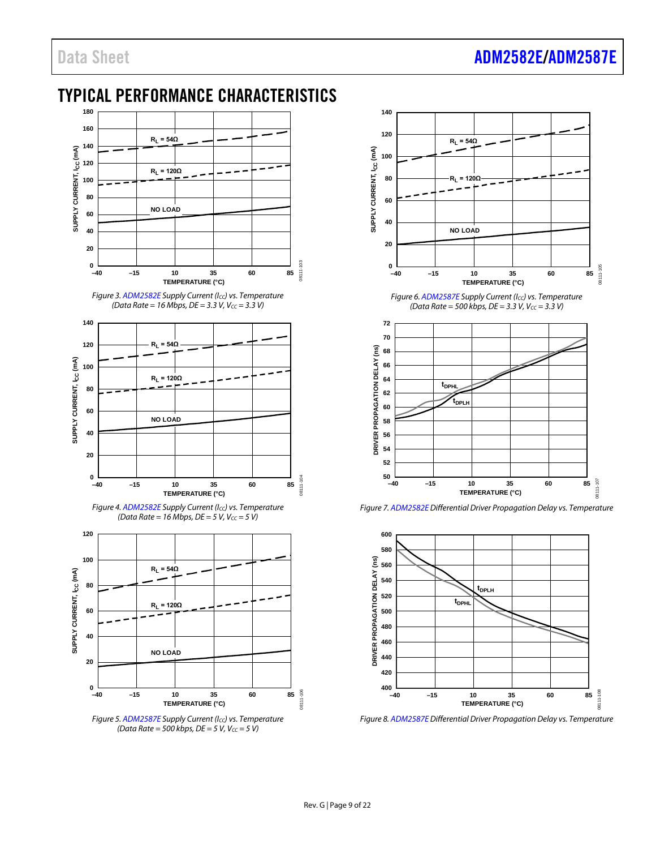# <span id="page-8-0"></span>TYPICAL PERFORMANCE CHARACTERISTICS



*Figure 3[. ADM2582E](http://www.analog.com/ADM2582E?doc=ADM2582E_2587E.pdf) Supply Current (ICC) vs. Temperature (Data Rate = 16 Mbps, DE = 3.3 V, V<sub>CC</sub> = 3.3 V)* 



*Figure 4[. ADM2582E](http://www.analog.com/ADM2582E?doc=ADM2582E_2587E.pdf) Supply Current (ICC) vs. Temperature (Data Rate = 16 Mbps, DE = 5 V, V<sub>CC</sub> = 5 V)* 



*Figure 5[. ADM2587E](http://www.analog.com/ADM2587E?doc=ADM2582E_2587E.pdf) Supply Current (ICC) vs. Temperature (Data Rate = 500 kbps, DE = 5 V, Vcc = 5 V)* 



*Figure 6[. ADM2587E](http://www.analog.com/ADM2587E?doc=ADM2582E_2587E.pdf) Supply Current (ICC) vs. Temperature (Data Rate = 500 kbps, DE = 3.3 V, Vcc = 3.3 V)* 



*Figure 7[. ADM2582E](http://www.analog.com/ADM2582E?doc=ADM2582E_2587E.pdf) Differential Driver Propagation Delay vs. Temperature*



*Figure 8[. ADM2587E](http://www.analog.com/ADM2587E?doc=ADM2582E_2587E.pdf) Differential Driver Propagation Delay vs. Temperature*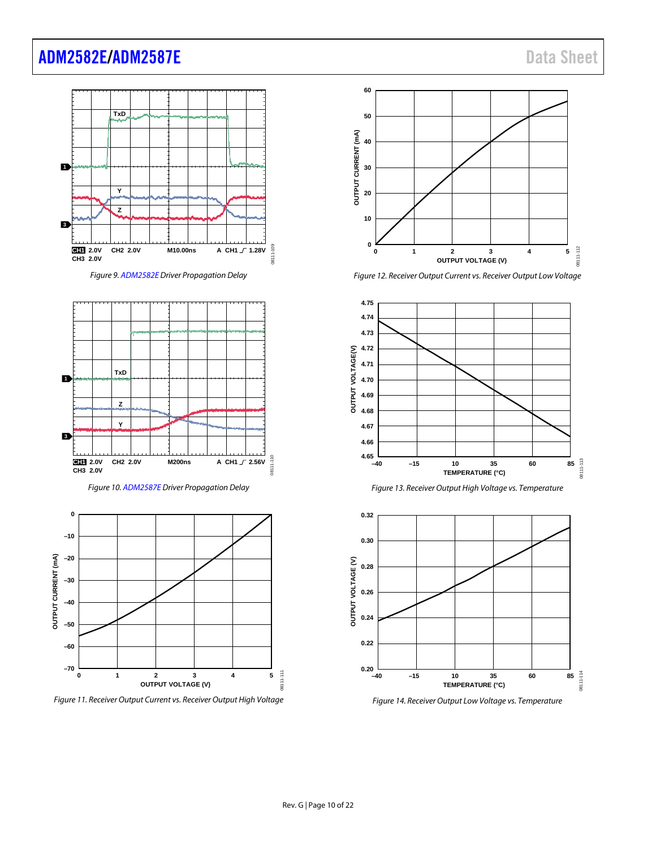# [ADM2582E](http://www.analog.com/ADM2582E?doc=ADM2582E_2587E.pdf)[/ADM2587E](http://www.analog.com/ADM2587E?doc=ADM2582E_2587E.pdf) and the state of the state of the state of the state of the state of the state of the state of the state of the state of the state of the state of the state of the state of the state of the state of the s



*Figure 9[. ADM2582E](http://www.analog.com/ADM2582E?doc=ADM2582E_2587E.pdf) Driver Propagation Delay*



*Figure 10[. ADM2587E](http://www.analog.com/ADM2587E?doc=ADM2582E_2587E.pdf) Driver Propagation Delay*



*Figure 11. Receiver Output Current vs. Receiver Output High Voltage*



*Figure 12. Receiver Output Current vs. Receiver Output Low Voltage*





*Figure 14. Receiver Output Low Voltage vs. Temperature*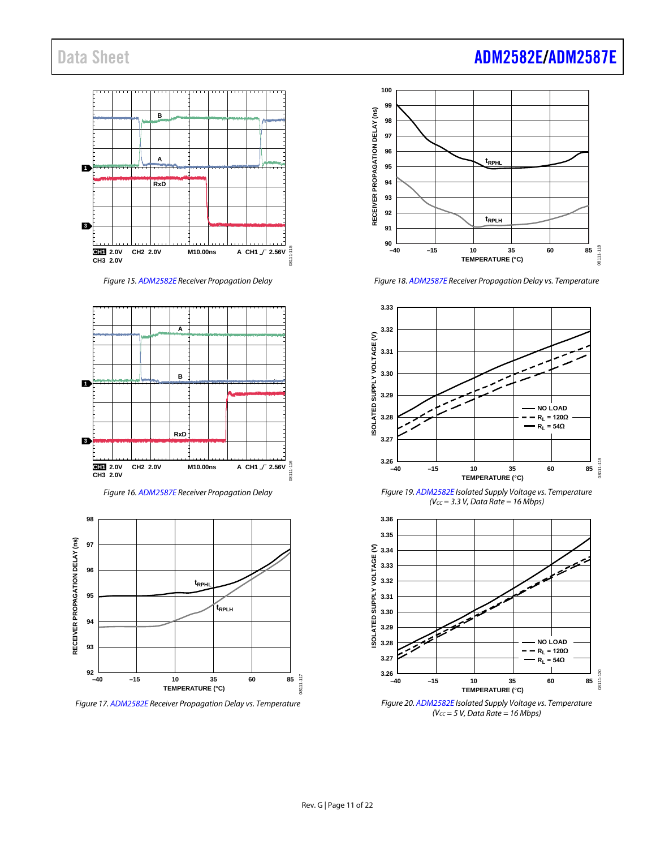

*Figure 15[. ADM2582E](http://www.analog.com/ADM2582E?doc=ADM2582E_2587E.pdf) Receiver Propagation Delay* 







*Figure 17[. ADM2582E](http://www.analog.com/ADM2582E?doc=ADM2582E_2587E.pdf) Receiver Propagation Delay vs. Temperature*

# Data Sheet **[ADM2582E/](http://www.analog.com/ADM2582E?doc=ADM2582E_2587E.pdf)[ADM2587E](http://www.analog.com/ADM2587E?doc=ADM2582E_2587E.pdf)**



*Figure 18[. ADM2587E](http://www.analog.com/ADM2587E?doc=ADM2582E_2587E.pdf) Receiver Propagation Delay vs. Temperature*



*Figure 19[. ADM2582E](http://www.analog.com/ADM2582E?doc=ADM2582E_2587E.pdf) Isolated Supply Voltage vs. Temperature (VCC = 3.3 V, Data Rate = 16 Mbps)*



*Figure 20[. ADM2582E](http://www.analog.com/ADM2582E?doc=ADM2582E_2587E.pdf) Isolated Supply Voltage vs. Temperature (VCC = 5 V, Data Rate = 16 Mbps)*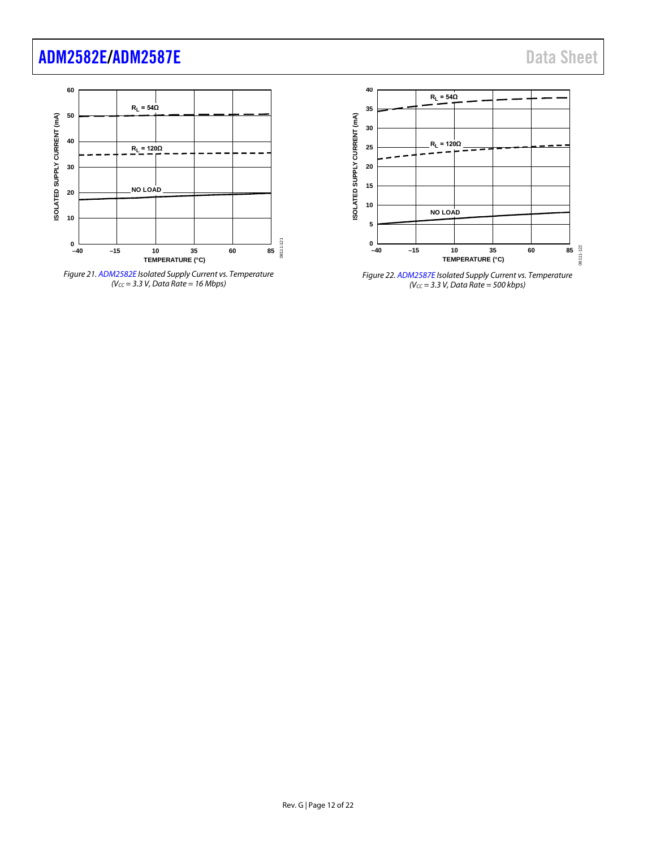# [ADM2582E/](http://www.analog.com/ADM2582E?doc=ADM2582E_2587E.pdf)[ADM2587E](http://www.analog.com/ADM2587E?doc=ADM2582E_2587E.pdf) and the control of the control of the control of the control of the control of the control of the control of the control of the control of the control of the control of the control of the control of the c







*Figure 22[. ADM2587E](http://www.analog.com/ADM2587E?doc=ADM2582E_2587E.pdf) Isolated Supply Current vs. Temperature (VCC = 3.3 V, Data Rate = 500 kbps)*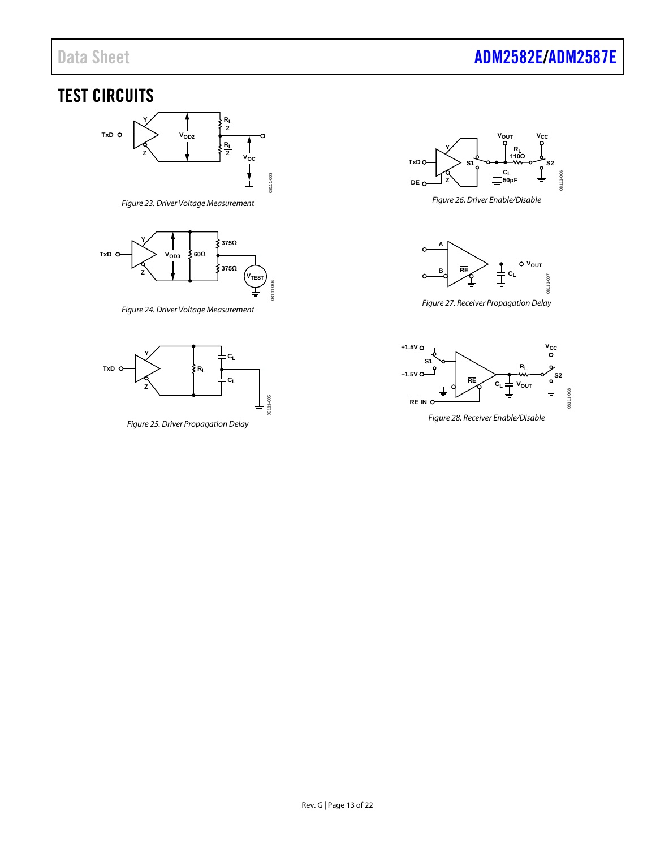# Data Sheet **[ADM2582E/](http://www.analog.com/ADM2582E?doc=ADM2582E_2587E.pdf)[ADM2587E](http://www.analog.com/ADM2587E?doc=ADM2582E_2587E.pdf)**

# <span id="page-12-0"></span>TEST CIRCUITS



*Figure 23. Driver Voltage Measurement*

<span id="page-12-1"></span>

*Figure 24. Driver Voltage Measurement*

<span id="page-12-2"></span>

<span id="page-12-3"></span>*Figure 25. Driver Propagation Delay*

08111-005



<span id="page-12-4"></span>*Figure 26. Driver Enable/Disable*



*Figure 27. Receiver Propagation Delay*

<span id="page-12-5"></span>

<span id="page-12-6"></span>*Figure 28. Receiver Enable/Disable*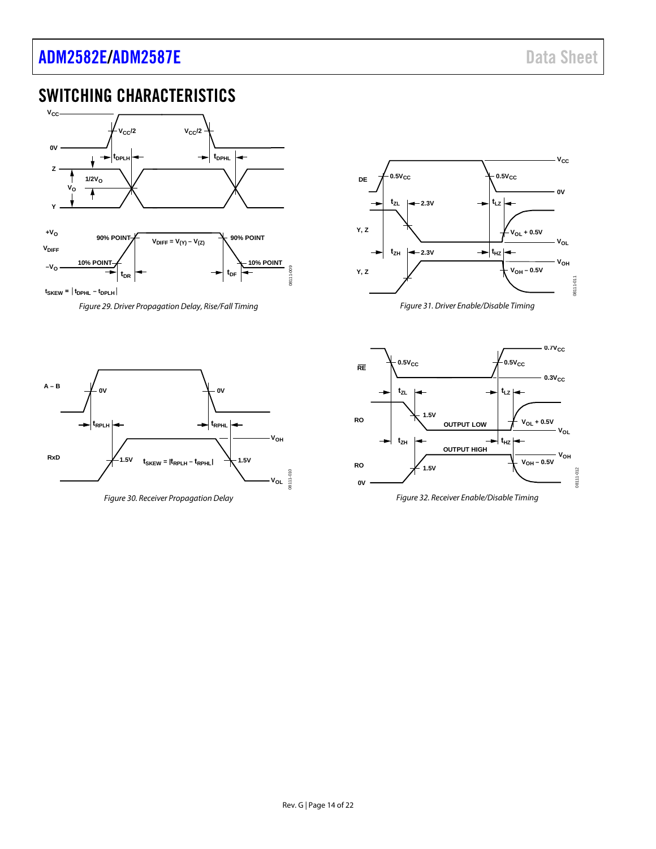# [ADM2582E/](http://www.analog.com/ADM2582E?doc=ADM2582E_2587E.pdf)[ADM2587E](http://www.analog.com/ADM2587E?doc=ADM2582E_2587E.pdf) and the control of the control of the control of the control of the control of the control of the control of the control of the control of the control of the control of the control of the control of the c

# <span id="page-13-0"></span>SWITCHING CHARACTERISTICS



<span id="page-13-1"></span>*Figure 29. Driver Propagation Delay, Rise/Fall Timing*



*Figure 31. Driver Enable/Disable Timing*



<span id="page-13-3"></span>*Figure 30. Receiver Propagation Delay* 

<span id="page-13-2"></span>

<span id="page-13-4"></span>*Figure 32. Receiver Enable/Disable Timing*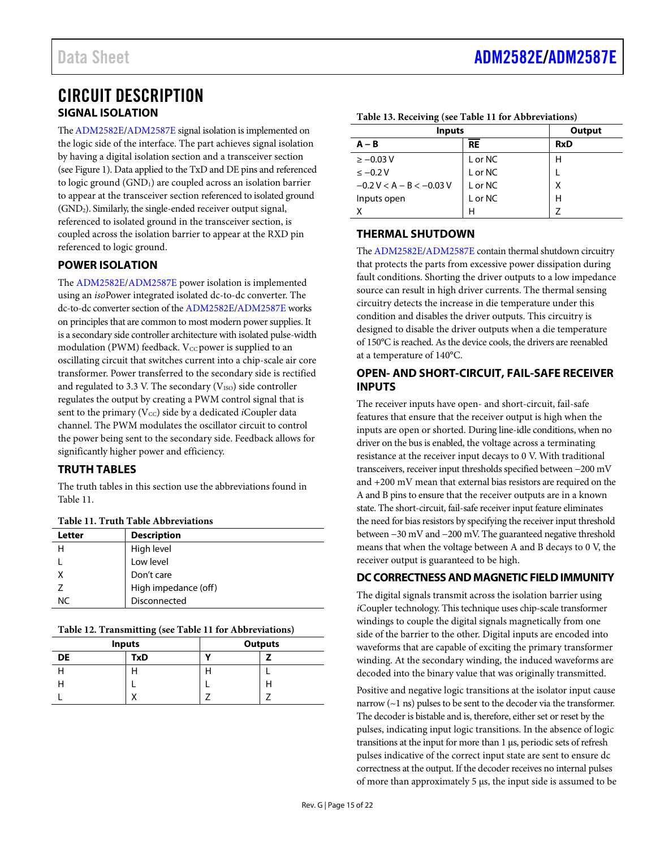### <span id="page-14-1"></span><span id="page-14-0"></span>CIRCUIT DESCRIPTION **SIGNAL ISOLATION**

Th[e ADM2582E](http://www.analog.com/ADM2582E?doc=ADM2582E_2587E.pdf)[/ADM2587E](http://www.analog.com/ADM2587E?doc=ADM2582E_2587E.pdf) signal isolation is implemented on the logic side of the interface. The part achieves signal isolation by having a digital isolation section and a transceiver section (se[e Figure 1\)](#page-0-4). Data applied to the TxD and DE pins and referenced to logic ground (GND<sub>1</sub>) are coupled across an isolation barrier to appear at the transceiver section referenced to isolated ground (GND2). Similarly, the single-ended receiver output signal, referenced to isolated ground in the transceiver section, is coupled across the isolation barrier to appear at the RXD pin referenced to logic ground.

### <span id="page-14-2"></span>**POWER ISOLATION**

The [ADM2582E](http://www.analog.com/ADM2582E?doc=ADM2582E_2587E.pdf)[/ADM2587E](http://www.analog.com/ADM2587E?doc=ADM2582E_2587E.pdf) power isolation is implemented using an *iso*Power integrated isolated dc-to-dc converter. The dc-to-dc converter section of th[e ADM2582E](http://www.analog.com/ADM2582E?doc=ADM2582E_2587E.pdf)[/ADM2587E](http://www.analog.com/ADM2587E?doc=ADM2582E_2587E.pdf) works on principles that are common to most modern power supplies. It is a secondary side controller architecture with isolated pulse-width modulation (PWM) feedback. V $_{\text{CC}}$  power is supplied to an oscillating circuit that switches current into a chip-scale air core transformer. Power transferred to the secondary side is rectified and regulated to 3.3 V. The secondary ( $V_{\rm ISO}$ ) side controller regulates the output by creating a PWM control signal that is sent to the primary (V<sub>CC</sub>) side by a dedicated *i*Coupler data channel. The PWM modulates the oscillator circuit to control the power being sent to the secondary side. Feedback allows for significantly higher power and efficiency.

### <span id="page-14-3"></span>**TRUTH TABLES**

The truth tables in this section use the abbreviations found in [Table 11.](#page-14-7)

<span id="page-14-7"></span>

| Table 11. Truth Table Abbreviations |  |  |  |  |
|-------------------------------------|--|--|--|--|
|-------------------------------------|--|--|--|--|

| Letter    | <b>Description</b>   |
|-----------|----------------------|
|           | High level           |
|           | Low level            |
|           | Don't care           |
|           | High impedance (off) |
| <b>NC</b> | Disconnected         |

**Table 12. Transmitting (se[e Table 11](#page-14-7) for Abbreviations)**

| <b>Inputs</b> |     |   | <b>Outputs</b> |
|---------------|-----|---|----------------|
| <b>DE</b>     | TxD | v |                |
|               | п   |   |                |
|               |     |   | п              |
|               | v   |   |                |

| Table 13. Receiving (see Table 11 for Abbreviations) |  |  |  |  |
|------------------------------------------------------|--|--|--|--|
|------------------------------------------------------|--|--|--|--|

| <b>Inputs</b>              | Output  |            |
|----------------------------|---------|------------|
| $A - B$                    | RE      | <b>RxD</b> |
| $\ge -0.03$ V              | L or NC | н          |
| $\leq -0.2$ V              | L or NC |            |
| $-0.2$ V < A – B < -0.03 V | L or NC | Χ          |
| Inputs open                | L or NC | н          |
|                            | Н       |            |

#### <span id="page-14-4"></span>**THERMAL SHUTDOWN**

Th[e ADM2582E](http://www.analog.com/ADM2582E?doc=ADM2582E_2587E.pdf)[/ADM2587E](http://www.analog.com/ADM2587E?doc=ADM2582E_2587E.pdf) contain thermal shutdown circuitry that protects the parts from excessive power dissipation during fault conditions. Shorting the driver outputs to a low impedance source can result in high driver currents. The thermal sensing circuitry detects the increase in die temperature under this condition and disables the driver outputs. This circuitry is designed to disable the driver outputs when a die temperature of 150°C is reached. As the device cools, the drivers are reenabled at a temperature of 140°C.

### <span id="page-14-5"></span>**OPEN- AND SHORT-CIRCUIT, FAIL-SAFE RECEIVER INPUTS**

The receiver inputs have open- and short-circuit, fail-safe features that ensure that the receiver output is high when the inputs are open or shorted. During line-idle conditions, when no driver on the bus is enabled, the voltage across a terminating resistance at the receiver input decays to 0 V. With traditional transceivers, receiver input thresholds specified between −200 mV and +200 mV mean that external bias resistors are required on the A and B pins to ensure that the receiver outputs are in a known state. The short-circuit, fail-safe receiver input feature eliminates the need for bias resistors by specifying the receiver input threshold between −30 mV and −200 mV. The guaranteed negative threshold means that when the voltage between A and B decays to 0 V, the receiver output is guaranteed to be high.

### <span id="page-14-6"></span>**DC CORRECTNESS AND MAGNETIC FIELD IMMUNITY**

The digital signals transmit across the isolation barrier using *i*Coupler technology. This technique uses chip-scale transformer windings to couple the digital signals magnetically from one side of the barrier to the other. Digital inputs are encoded into waveforms that are capable of exciting the primary transformer winding. At the secondary winding, the induced waveforms are decoded into the binary value that was originally transmitted.

Positive and negative logic transitions at the isolator input cause narrow (~1 ns) pulses to be sent to the decoder via the transformer. The decoder is bistable and is, therefore, either set or reset by the pulses, indicating input logic transitions. In the absence of logic transitions at the input for more than 1 µs, periodic sets of refresh pulses indicative of the correct input state are sent to ensure dc correctness at the output. If the decoder receives no internal pulses of more than approximately 5 µs, the input side is assumed to be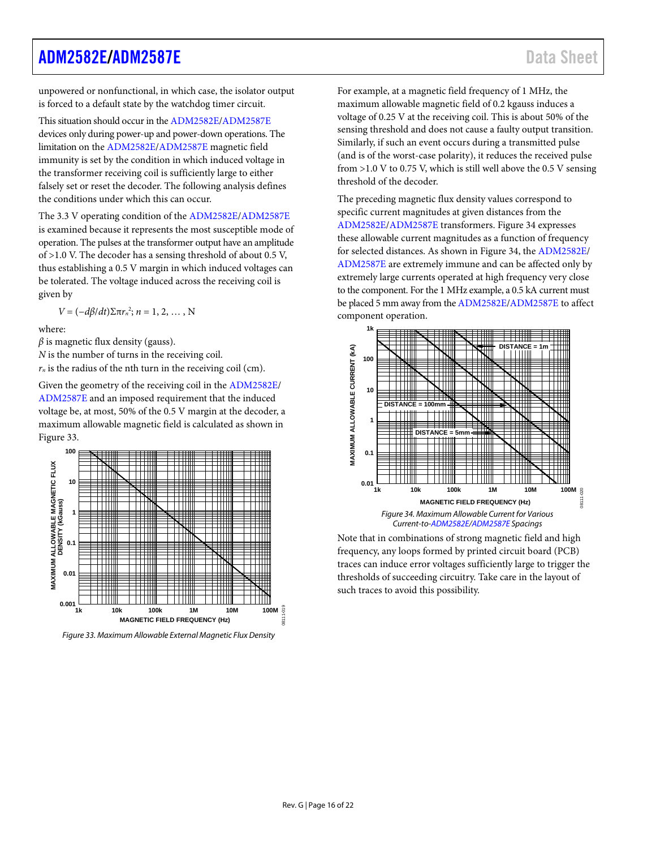### [ADM2582E/](http://www.analog.com/ADM2582E?doc=ADM2582E_2587E.pdf)[ADM2587E](http://www.analog.com/ADM2587E?doc=ADM2582E_2587E.pdf) and the state of the state of the state of the state of the state of the state of the state of the state of the state of the state of the state of the state of the state of the state of the state of the s

unpowered or nonfunctional, in which case, the isolator output is forced to a default state by the watchdog timer circuit.

This situation should occur in th[e ADM2582E](http://www.analog.com/ADM2582E?doc=ADM2582E_2587E.pdf)[/ADM2587E](http://www.analog.com/ADM2587E?doc=ADM2582E_2587E.pdf) devices only during power-up and power-down operations. The limitation on the [ADM2582E/](http://www.analog.com/ADM2582E?doc=ADM2582E_2587E.pdf)[ADM2587E](http://www.analog.com/ADM2587E?doc=ADM2582E_2587E.pdf) magnetic field immunity is set by the condition in which induced voltage in the transformer receiving coil is sufficiently large to either falsely set or reset the decoder. The following analysis defines the conditions under which this can occur.

The 3.3 V operating condition of th[e ADM2582E](http://www.analog.com/ADM2582E?doc=ADM2582E_2587E.pdf)[/ADM2587E](http://www.analog.com/ADM2587E?doc=ADM2582E_2587E.pdf) is examined because it represents the most susceptible mode of operation. The pulses at the transformer output have an amplitude of >1.0 V. The decoder has a sensing threshold of about 0.5 V, thus establishing a 0.5 V margin in which induced voltages can be tolerated. The voltage induced across the receiving coil is given by

 $V = (-dβ/dt)Σπr<sub>n</sub><sup>2</sup>; n = 1, 2, …, N$ 

where:

 $\beta$  is magnetic flux density (gauss).

*N* is the number of turns in the receiving coil.

 $r_n$  is the radius of the nth turn in the receiving coil (cm).

Given the geometry of the receiving coil in the [ADM2582E/](http://www.analog.com/ADM2582E?doc=ADM2582E_2587E.pdf) [ADM2587E](http://www.analog.com/ADM2587E?doc=ADM2582E_2587E.pdf) and an imposed requirement that the induced voltage be, at most, 50% of the 0.5 V margin at the decoder, a maximum allowable magnetic field is calculated as shown in [Figure 33.](#page-15-0) 



<span id="page-15-0"></span>*Figure 33. Maximum Allowable External Magnetic Flux Density*

For example, at a magnetic field frequency of 1 MHz, the maximum allowable magnetic field of 0.2 kgauss induces a voltage of 0.25 V at the receiving coil. This is about 50% of the sensing threshold and does not cause a faulty output transition. Similarly, if such an event occurs during a transmitted pulse (and is of the worst-case polarity), it reduces the received pulse from >1.0 V to 0.75 V, which is still well above the 0.5 V sensing threshold of the decoder.

The preceding magnetic flux density values correspond to specific current magnitudes at given distances from the [ADM2582E](http://www.analog.com/ADM2582E?doc=ADM2582E_2587E.pdf)[/ADM2587E](http://www.analog.com/ADM2587E?doc=ADM2582E_2587E.pdf) transformers[. Figure 34](#page-15-1) expresses these allowable current magnitudes as a function of frequency for selected distances. As shown i[n Figure 34,](#page-15-1) th[e ADM2582E/](http://www.analog.com/ADM2582E?doc=ADM2582E_2587E.pdf) [ADM2587E](http://www.analog.com/ADM2587E?doc=ADM2582E_2587E.pdf) are extremely immune and can be affected only by extremely large currents operated at high frequency very close to the component. For the 1 MHz example, a 0.5 kA current must be placed 5 mm away from th[e ADM2582E](http://www.analog.com/ADM2582E?doc=ADM2582E_2587E.pdf)[/ADM2587E](http://www.analog.com/ADM2587E?doc=ADM2582E_2587E.pdf) to affect component operation.



<span id="page-15-1"></span>Note that in combinations of strong magnetic field and high frequency, any loops formed by printed circuit board (PCB) traces can induce error voltages sufficiently large to trigger the thresholds of succeeding circuitry. Take care in the layout of such traces to avoid this possibility.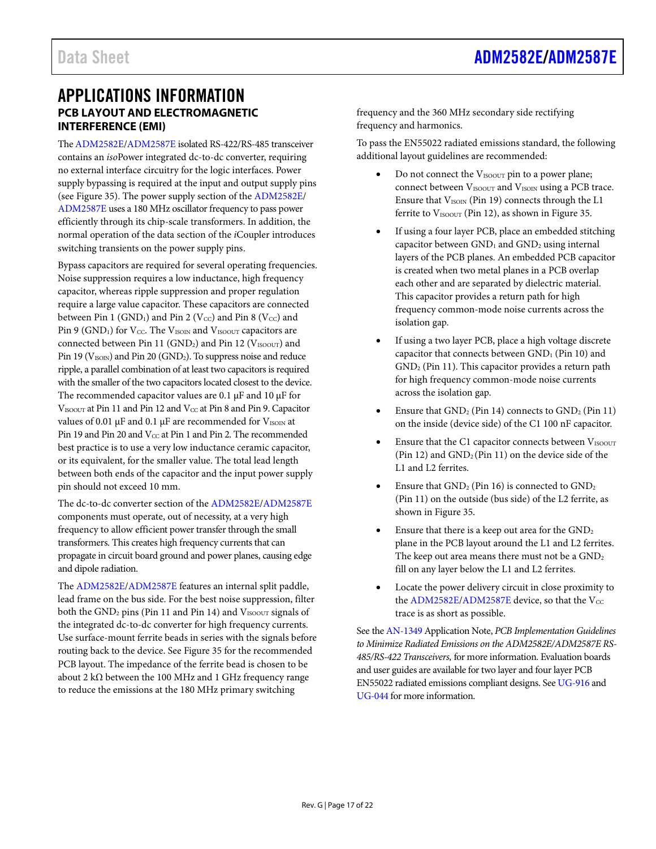### <span id="page-16-1"></span><span id="page-16-0"></span>APPLICATIONS INFORMATION **PCB LAYOUT AND ELECTROMAGNETIC INTERFERENCE (EMI)**

Th[e ADM2582E](http://www.analog.com/ADM2582E?doc=ADM2582E_2587E.pdf)[/ADM2587E](http://www.analog.com/ADM2587E?doc=ADM2582E_2587E.pdf) isolated RS-422/RS-485 transceiver contains an *iso*Power integrated dc-to-dc converter, requiring no external interface circuitry for the logic interfaces. Power supply bypassing is required at the input and output supply pins (see [Figure 35\)](#page-17-1). The power supply section of th[e ADM2582E/](http://www.analog.com/ADM2582E?doc=ADM2582E_2587E.pdf) [ADM2587E](http://www.analog.com/ADM2587E?doc=ADM2582E_2587E.pdf) uses a 180 MHz oscillator frequency to pass power efficiently through its chip-scale transformers. In addition, the normal operation of the data section of the *i*Coupler introduces switching transients on the power supply pins.

Bypass capacitors are required for several operating frequencies. Noise suppression requires a low inductance, high frequency capacitor, whereas ripple suppression and proper regulation require a large value capacitor. These capacitors are connected between Pin 1 (GND<sub>1</sub>) and Pin 2 (V<sub>CC</sub>) and Pin 8 (V<sub>CC</sub>) and Pin 9 (GND<sub>1</sub>) for V<sub>CC</sub>. The V<sub>ISOIN</sub> and V<sub>ISOOUT</sub> capacitors are connected between Pin 11 (GND<sub>2</sub>) and Pin 12 ( $V_{\text{ISOOUT}}$ ) and Pin 19 ( $V_{\text{ISON}}$ ) and Pin 20 ( $\text{GND}_2$ ). To suppress noise and reduce ripple, a parallel combination of at least two capacitors is required with the smaller of the two capacitors located closest to the device. The recommended capacitor values are 0.1  $\mu$ F and 10  $\mu$ F for VISOOUT at Pin 11 and Pin 12 and Vcc at Pin 8 and Pin 9. Capacitor values of 0.01  $\mu$ F and 0.1  $\mu$ F are recommended for V<sub>ISOIN</sub> at Pin 19 and Pin 20 and Vcc at Pin 1 and Pin 2. The recommended best practice is to use a very low inductance ceramic capacitor, or its equivalent, for the smaller value. The total lead length between both ends of the capacitor and the input power supply pin should not exceed 10 mm.

The dc-to-dc converter section of the [ADM2582E/](http://www.analog.com/ADM2582E?doc=ADM2582E_2587E.pdf)[ADM2587E](http://www.analog.com/ADM2587E?doc=ADM2582E_2587E.pdf) components must operate, out of necessity, at a very high frequency to allow efficient power transfer through the small transformers. This creates high frequency currents that can propagate in circuit board ground and power planes, causing edge and dipole radiation.

The [ADM2582E](http://www.analog.com/ADM2582E?doc=ADM2582E_2587E.pdf)[/ADM2587E](http://www.analog.com/ADM2587E?doc=ADM2582E_2587E.pdf) features an internal split paddle, lead frame on the bus side. For the best noise suppression, filter both the GND<sub>2</sub> pins (Pin 11 and Pin 14) and V<sub>ISOOUT</sub> signals of the integrated dc-to-dc converter for high frequency currents. Use surface-mount ferrite beads in series with the signals before routing back to the device. Se[e Figure 35](#page-17-1) for the recommended PCB layout. The impedance of the ferrite bead is chosen to be about 2 kΩ between the 100 MHz and 1 GHz frequency range to reduce the emissions at the 180 MHz primary switching

frequency and the 360 MHz secondary side rectifying frequency and harmonics.

To pass the EN55022 radiated emissions standard, the following additional layout guidelines are recommended:

- Do not connect the V<sub>ISOOUT</sub> pin to a power plane; connect between V<sub>ISOOUT</sub> and V<sub>ISOIN</sub> using a PCB trace. Ensure that V<sub>ISOIN</sub> (Pin 19) connects through the L1 ferrite to  $V_{\text{ISOOUT}}$  (Pin 12), as shown in [Figure 35.](#page-17-1)
- If using a four layer PCB, place an embedded stitching capacitor between GND<sub>1</sub> and GND<sub>2</sub> using internal layers of the PCB planes. An embedded PCB capacitor is created when two metal planes in a PCB overlap each other and are separated by dielectric material. This capacitor provides a return path for high frequency common-mode noise currents across the isolation gap.
- If using a two layer PCB, place a high voltage discrete capacitor that connects between  $GND<sub>1</sub>$  (Pin 10) and GND2 (Pin 11). This capacitor provides a return path for high frequency common-mode noise currents across the isolation gap.
- Ensure that  $GND_2$  (Pin 14) connects to  $GND_2$  (Pin 11) on the inside (device side) of the C1 100 nF capacitor.
- Ensure that the C1 capacitor connects between VISOOUT (Pin 12) and  $GND_2$  (Pin 11) on the device side of the L1 and L2 ferrites.
- Ensure that  $GND_2$  (Pin 16) is connected to  $GND_2$ (Pin 11) on the outside (bus side) of the L2 ferrite, as shown in [Figure 35.](#page-17-1)
- Ensure that there is a keep out area for the  $GND<sub>2</sub>$ plane in the PCB layout around the L1 and L2 ferrites. The keep out area means there must not be a  $\text{GND}_2$ fill on any layer below the L1 and L2 ferrites.
- Locate the power delivery circuit in close proximity to the  $\text{ADM2582E/ADM2587E}$  $\text{ADM2582E/ADM2587E}$  $\text{ADM2582E/ADM2587E}$  device, so that the Vcc trace is as short as possible.

See th[e AN-1349](http://www.analog.com/AN-1349?doc=ADM2582E_2587E.pdf) Application Note, *PCB Implementation Guidelines to Minimize Radiated Emissions on the ADM2582E/ADM2587E RS-485/RS-422 Transceivers,* for more information. Evaluation boards and user guides are available for two layer and four layer PCB EN55022 radiated emissions compliant designs. See [UG-916](http://www.analog.com/UG-916?doc=ADM2582E_2587E.pdf) and [UG-044](http://www.analog.com/UG-044?doc=ADM2582E_2587E.pdf) for more information.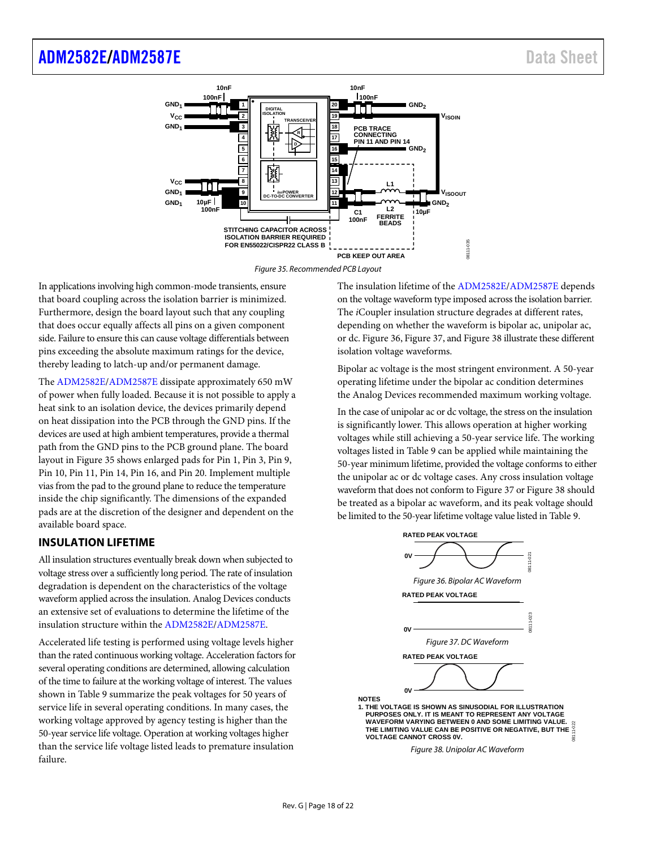### [ADM2582E/](http://www.analog.com/ADM2582E?doc=ADM2582E_2587E.pdf)[ADM2587E](http://www.analog.com/ADM2587E?doc=ADM2582E_2587E.pdf) and the state of the state of the state of the state of the state of the state of the state of the state of the state of the state of the state of the state of the state of the state of the state of the s



Figure 35. Recommended PCB Layout

<span id="page-17-1"></span>In applications involving high common-mode transients, ensure that board coupling across the isolation barrier is minimized. Furthermore, design the board layout such that any coupling that does occur equally affects all pins on a given component side. Failure to ensure this can cause voltage differentials between pins exceeding the absolute maximum ratings for the device, thereby leading to latch-up and/or permanent damage.

The [ADM2582E](http://www.analog.com/ADM2582E?doc=ADM2582E_2587E.pdf)[/ADM2587E](http://www.analog.com/ADM2587E?doc=ADM2582E_2587E.pdf) dissipate approximately 650 mW of power when fully loaded. Because it is not possible to apply a heat sink to an isolation device, the devices primarily depend on heat dissipation into the PCB through the GND pins. If the devices are used at high ambient temperatures, provide a thermal path from the GND pins to the PCB ground plane. The board layout i[n Figure 35](#page-17-1) shows enlarged pads for Pin 1, Pin 3, Pin 9, Pin 10, Pin 11, Pin 14, Pin 16, and Pin 20. Implement multiple vias from the pad to the ground plane to reduce the temperature inside the chip significantly. The dimensions of the expanded pads are at the discretion of the designer and dependent on the available board space.

### <span id="page-17-0"></span>**INSULATION LIFETIME**

All insulation structures eventually break down when subjected to voltage stress over a sufficiently long period. The rate of insulation degradation is dependent on the characteristics of the voltage waveform applied across the insulation. Analog Devices conducts an extensive set of evaluations to determine the lifetime of the insulation structure within the [ADM2582E/](http://www.analog.com/ADM2582E?doc=ADM2582E_2587E.pdf)[ADM2587E.](http://www.analog.com/ADM2587E?doc=ADM2582E_2587E.pdf)

Accelerated life testing is performed using voltage levels higher than the rated continuous working voltage. Acceleration factors for several operating conditions are determined, allowing calculation of the time to failure at the working voltage of interest. The values shown in [Table 9](#page-6-2) summarize the peak voltages for 50 years of service life in several operating conditions. In many cases, the working voltage approved by agency testing is higher than the 50-year service life voltage. Operation at working voltages higher than the service life voltage listed leads to premature insulation failure.

The insulation lifetime of th[e ADM2582E/](http://www.analog.com/ADM2582E?doc=ADM2582E_2587E.pdf)[ADM2587E d](http://www.analog.com/ADM2587E?doc=ADM2582E_2587E.pdf)epends on the voltage waveform type imposed across the isolation barrier. The *i*Coupler insulation structure degrades at different rates, depending on whether the waveform is bipolar ac, unipolar ac, or dc[. Figure 36,](#page-17-2) [Figure 37,](#page-17-3) an[d Figure 38 i](#page-17-4)llustrate these different isolation voltage waveforms.

Bipolar ac voltage is the most stringent environment. A 50-year operating lifetime under the bipolar ac condition determines the Analog Devices recommended maximum working voltage.

In the case of unipolar ac or dc voltage, the stress on the insulation is significantly lower. This allows operation at higher working voltages while still achieving a 50-year service life. The working voltages listed in [Table 9 c](#page-6-2)an be applied while maintaining the 50-year minimum lifetime, provided the voltage conforms to either the unipolar ac or dc voltage cases. Any cross insulation voltage waveform that does not conform t[o Figure 37](#page-17-3) o[r Figure 38 s](#page-17-4)hould be treated as a bipolar ac waveform, and its peak voltage should be limited to the 50-year lifetime voltage value listed i[n Table 9.](#page-6-2) 

<span id="page-17-2"></span>

Figure 38. Unipolar AC Waveform

<span id="page-17-4"></span><span id="page-17-3"></span>**NOTES**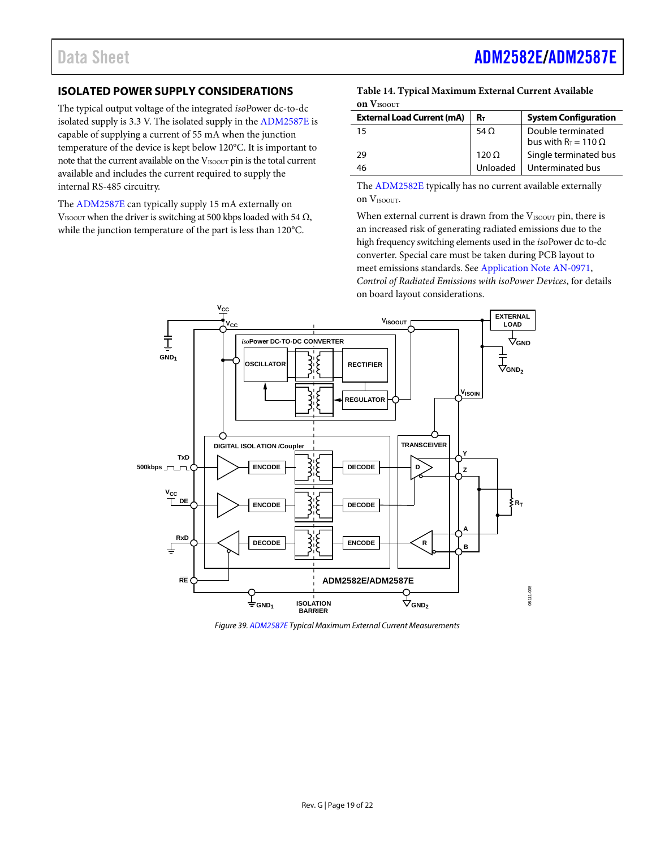### <span id="page-18-0"></span>**ISOLATED POWER SUPPLY CONSIDERATIONS**

The typical output voltage of the integrated *iso*Power dc-to-dc isolated supply is 3.3 V. The isolated supply in the [ADM2587E](http://www.analog.com/ADM2587E?doc=ADM2582E_2587E.pdf) is capable of supplying a current of 55 mA when the junction temperature of the device is kept below 120°C. It is important to note that the current available on the V<sub>ISOOUT</sub> pin is the total current available and includes the current required to supply the internal RS-485 circuitry.

The [ADM2587E](http://www.analog.com/ADM2587E?doc=ADM2582E_2587E.pdf) can typically supply 15 mA externally on VISOOUT when the driver is switching at 500 kbps loaded with 54  $\Omega$ , while the junction temperature of the part is less than 120°C.

#### **Table 14. Typical Maximum External Current Available on VISOOUT**

| <b>External Load Current (mA)</b> | $R_{\rm T}$  | <b>System Configuration</b> |
|-----------------------------------|--------------|-----------------------------|
| 15                                | 54 $\Omega$  | Double terminated           |
|                                   |              | bus with $R_T = 110 \Omega$ |
| 29                                | $120 \Omega$ | Single terminated bus       |
| 46                                | Unloaded     | Unterminated bus            |

The [ADM2582E](http://www.analog.com/ADM2582E?doc=ADM2582E_2587E.pdf) typically has no current available externally on VISOOUT.

When external current is drawn from the VISOOUT pin, there is an increased risk of generating radiated emissions due to the high frequency switching elements used in the *iso*Power dc to-dc converter. Special care must be taken during PCB layout to meet emissions standards. See [Application Note AN-0971,](http://www.analog.com/AN-0971?doc=ADM2582E_2587E.pdf)  *Control of Radiated Emissions with isoPower Devices*, for details on board layout considerations.



*Figure 39[. ADM2587E](http://www.analog.com/ADM2587E?doc=ADM2582E_2587E.pdf) Typical Maximum External Current Measurements*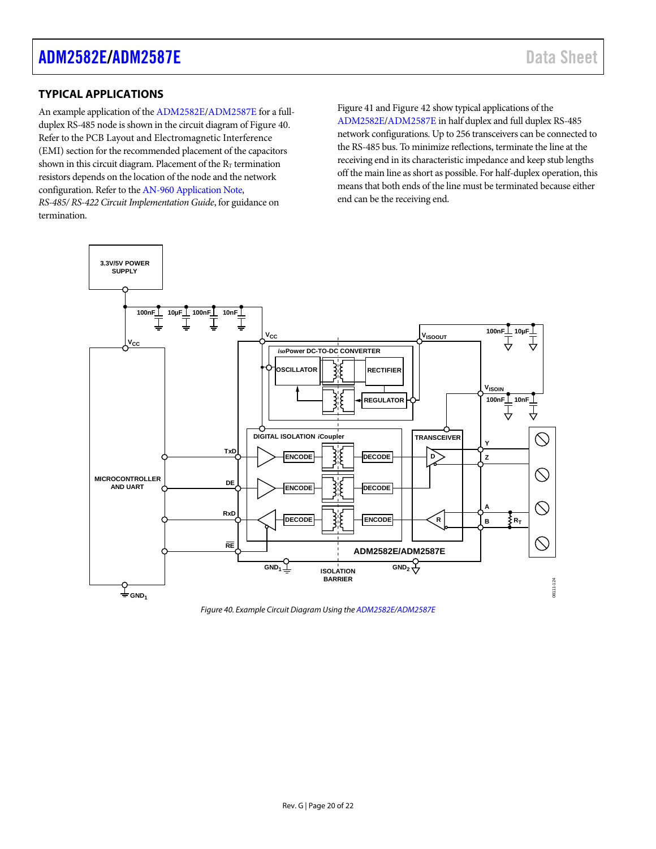### <span id="page-19-0"></span>**TYPICAL APPLICATIONS**

An example application of th[e ADM2582E/](http://www.analog.com/ADM2582E?doc=ADM2582E_2587E.pdf)[ADM2587E f](http://www.analog.com/ADM2587E?doc=ADM2582E_2587E.pdf)or a fullduplex RS-485 node is shown in the circuit diagram o[f Figure 40.](#page-19-1)  Refer to th[e PCB Layout and Electromagnetic Interference](#page-16-1)  [\(EMI\) s](#page-16-1)ection for the recommended placement of the capacitors shown in this circuit diagram. Placement of the  $R_T$  termination resistors depends on the location of the node and the network configuration. Refer to th[e AN-960 Application Note,](http://www.analog.com/an-960?doc=ADM2582E_2587E.pdf) *RS-485/ RS-422 Circuit Implementation Guide*, for guidance on

termination.

[Figure 41 a](#page-20-0)n[d Figure 42 s](#page-20-1)how typical applications of the [ADM2582E](http://www.analog.com/ADM2582E?doc=ADM2582E_2587E.pdf)[/ADM2587E i](http://www.analog.com/ADM2587E?doc=ADM2582E_2587E.pdf)n half duplex and full duplex RS-485 network configurations. Up to 256 transceivers can be connected to the RS-485 bus. To minimize reflections, terminate the line at the receiving end in its characteristic impedance and keep stub lengths off the main line as short as possible. For half-duplex operation, this means that both ends of the line must be terminated because either end can be the receiving end.



<span id="page-19-1"></span>Figure 40. Example Circuit Diagram Using th[e ADM2582E/](http://www.analog.com/ADM2582E?doc=ADM2582E_2587E.pdf)[ADM2587E](http://www.analog.com/ADM2587E?doc=ADM2582E_2587E.pdf)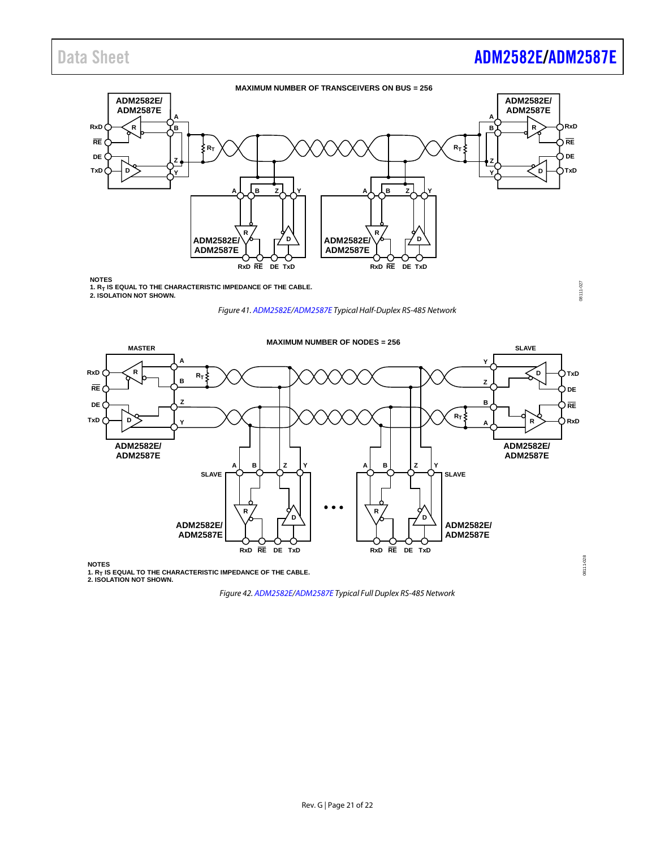# Data Sheet **[ADM2582E/](http://www.analog.com/ADM2582E?doc=ADM2582E_2587E.pdf)[ADM2587E](http://www.analog.com/ADM2587E?doc=ADM2582E_2587E.pdf)**

08111-027

08111-027

08111-028



NOTES<br>1. R<sub>T</sub> IS EQUAL TO THE CHARACTERISTIC IMPEDANCE OF THE CABLE. **2. ISOLATION NOT SHOWN.**

<span id="page-20-0"></span>

*Figure 41[. ADM2582E](http://www.analog.com/ADM2582E?doc=ADM2582E_2587E.pdf)[/ADM2587E](http://www.analog.com/ADM2587E?doc=ADM2582E_2587E.pdf) Typical Half-Duplex RS-485 Network*



<span id="page-20-1"></span>1. R<sub>T</sub> IS EQUAL TO THE CHARACTERISTIC IMPEDANCE OF THE CABLE.<br>2. ISOLATION NOT SHOWN.

*Figure 42[. ADM2582E/](http://www.analog.com/ADM2582E?doc=ADM2582E_2587E.pdf)[ADM2587E](http://www.analog.com/ADM2587E?doc=ADM2582E_2587E.pdf) Typical Full Duplex RS-485 Network*